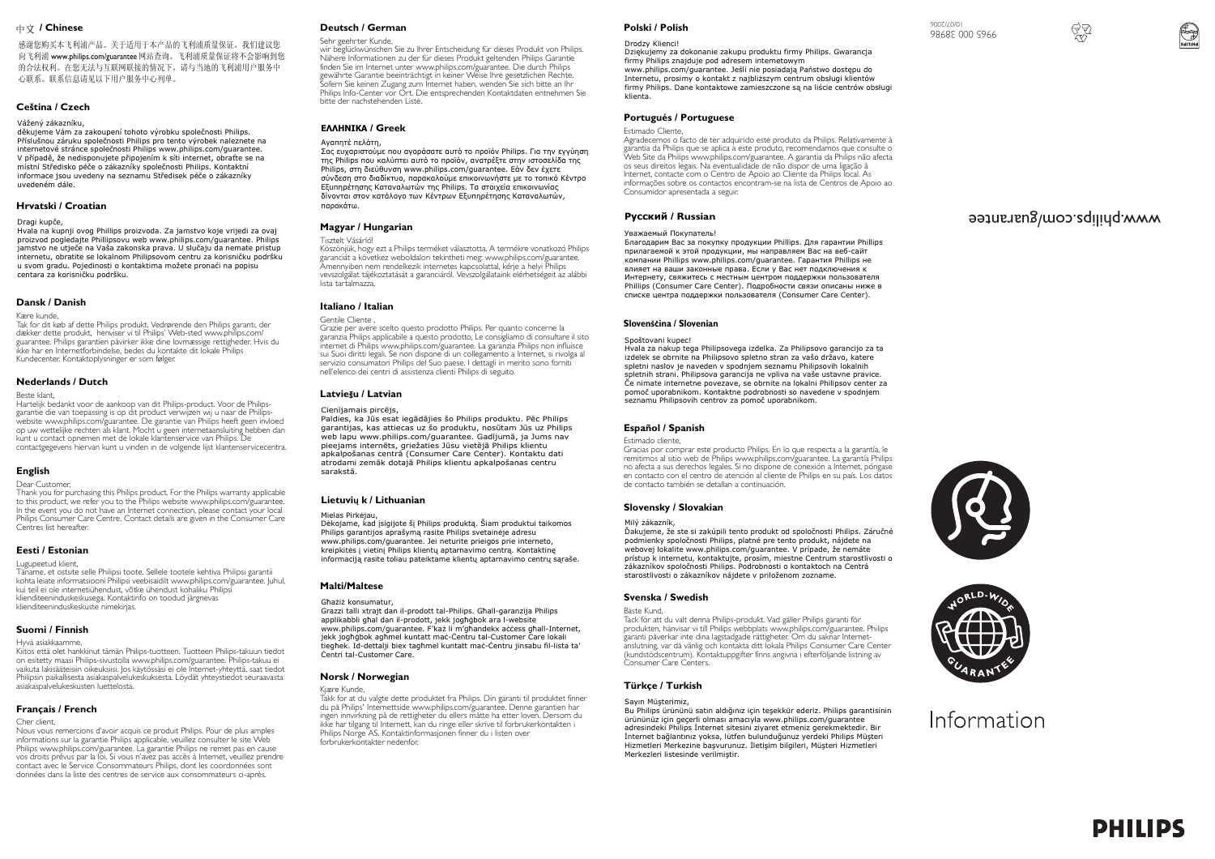#### **/ Chinese**

感谢您购买本飞利浦产品。关于适用于本产品的飞利浦质量保证, 我们建议您 向飞利浦 www.philips.com/guarantee 网站查询。飞利浦质量保证将不会影响到您 的合法权利。在您无法与互联网联接的情况下,请与当地的飞利浦用户服务中 心联系。联系信息请见以下用户服务中心列单。

# **Ceština / Czech**

# Vážený zákazníku,

vázon, zakladníka,<br>děkujeme Vám za zakoupení tohoto výrobku společnosti Philips. Příslušnou záruku společnosti Philips pro tento výrobek naleznete na internetové stránce společnosti Philips www.philips.com/guarantee. V případě, že nedisponujete připojením k síti internet, obraťte se na místní Středisko péče o zákazníky společnosti Philips. Kontaktní informace jsou uvedeny na seznamu Středisek péče o zákazníky uvedeném dále.

# **Hrvatski / Croatian**

#### Dragi kupče,

Hvala na kupnji ovog Phillips proizvoda. Za jamstvo koje vrijedi za ovaj proizvod pogledajte Phillipsovu web www.philips.com/guarantee. Philips jamstvo ne utječe na Vaša zakonska prava. U slučaju da nemate pristup internetu, obratite se lokalnom Philipsovom centru za korisničku podršku u svom gradu. Pojedinosti o kontaktima možete pronaći na popisu centara za korisničku podršku.

## **Dansk / Danish**

Kære kunde,

Tak for dit køb af dette Philips produkt. Vedrørende den Philips garanti, der dækker dette produkt, henviser vi til Philips' Web-sted www.philips.com/ guarantee. Philips garantien påvirker ikke dine lovmæssige rettigheder. Hvis du ikke har en Internetforbindelse, bedes du kontakte dit lokale Philips Kundecenter. Kontaktoplysninger er som følger.

# **Nederlands / Dutch**

Beste klant,

Hartelijk bedankt voor de aankoop van dit Philips-product. Voor de Philipsgarantie die van toepassing is op dit product verwijzen wij u naar de Philipswebsite www.philips.com/guarantee. De garantie van Philips heeft geen invloed op uw wettelijke rechten als klant. Mocht u geen internetaansluiting hebben dan kunt u contact opnemen met de lokale klantenservice van Philips. De contactgegevens hiervan kunt u vinden in de volgende lijst klantenservicecentra.

# **English**

Dear Customer, Thank you for purchasing this Philips product. For the Philips warranty applicable to this product, we refer you to the Philips website www.philips.com/guarantee. In the event you do not have an Internet connection, please contact your local Philips Consumer Care Centre. Contact details are given in the Consumer Care Centres list hereafter.

# **Eesti / Estonian**

#### Lugupeetud klient,

Täname, et ostsite selle Philipsi toote. Sellele tootele kehtiva Philipsi garantii kohta leiate informatsiooni Philipsi veebisaidilt www.philips.com/guarantee. Juhul, kui teil ei ole internetiühendust, võtke ühendust kohaliku Philipsi klienditeeninduskeskusega. Kontaktinfo on toodud järgnevas klienditeeninduskeskuste nimekirjas.

#### **Suomi / Finnish**

Hyvä asiakkaamme,

Kiitos että olet hankkinut tämän Philips-tuotteen. Tuotteen Philips-takuun tiedot on esitetty maasi Philips-sivustolla www.philips.com/guarantee. Philips-takuu ei vaikuta lakisääteisiin oikeuksiisi. Jos käytössäsi ei ole Internet-yhteyttä, saat tiedot Philipsin paikallisesta asiakaspalvelukeskuksesta. Löydät yhteystiedot seuraavasta asiakaspalvelukeskusten luettelosta.

## **Français / French**

Cher client,

Nous vous remercions d'avoir acquis ce produit Philips. Pour de plus amples informations sur la garantie Philips applicable, veuillez consulter le site Web Philips www.philips.com/guarantee. La garantie Philips ne remet pas en cause vos droits prévus par la loi. Si vous n'avez pas accès à Internet, veuillez prendre contact avec le Service Consommateurs Philips, dont les coordonnées sont données dans la liste des centres de service aux consommateurs ci-après.

# **Deutsch / German**

Sehr geehrter Kunde, wir beglückwünschen Sie zu Ihrer Entscheidung für dieses Produkt von Philips. Nähere Informationen zu der für dieses Produkt geltenden Philips Garantie finden Sie im Internet unter www.philips.com/guarantee. Die durch Philips gewährte Garantie beeinträchtigt in keiner Weise Ihre gesetzlichen Rechte. Sofern Sie keinen Zugang zum Internet haben, wenden Sie sich bitte an Ihr Philips Info-Center vor Ort. Die entsprechenden Kontaktdaten entnehmen Sie bitte der nachstehenden Liste.

# **EAAHNIKA / Greek**

#### Avannτέ πελάτη

Σας ευχαριστούμε που αγοράσατε αυτό το προϊόν Philips. Για την εγγύηση της Philips που καλύπτει αυτό το προϊόν, ανατρέξτε στην ιστοσελίδα της Philips, στη διεύθυνση www.philips.com/guarantee. Εάν δεν έχετε σύνδεση στο διαδίκτυο, παρακαλούμε επικοινωνήστε με το τοπικό Κέντρο Eξυπηρέτησης Καταναλωτών της Philips. Τα στοιχεία επικοινωνίας δίνονται στον κατάλονο των Κέντρων Εξυπηρέτησης Καταναλωτών. monkotro

# **Magyar / Hungarian**

Tisztelt Vásárló!

 Köszönjük, hogy ezt a Philips terméket választotta. A termékre vonatkozó Philips garanciát a következ weboldalon tekintheti meg: www.philips.com/guarantee. Amennyiben nem rendelkezik internetes kapcsolattal, kérje a helyi Philips vevszolgálat tájékoztatását a garanciáról. Vevszolgálataink elérhetségeit az alábbi lista tartalmazza.

# **Italiano / Italian**

Gentile Cliente , Grazie per avere scelto questo prodotto Philips. Per quanto concerne la garanzia Philips applicabile a questo prodotto, Le consigliamo di consultare il sito internet di Philips www.philips.com/guarantee. La garanzia Philips non influisce sui Suoi diritti legali. Se non dispone di un collegamento a Internet, si rivolga al servizio consumatori Philips del Suo paese. I dettagli in merito sono forniti nell'elenco dei centri di assistenza clienti Philips di seguito.

## **Latvie**š**u / Latvian**

#### Cienījamais pircējs

Paldies, ka Jūs esat iegādājies šo Philips produktu. Pēc Philips garantijas, kas attiecas uz šo produktu, nosūtam Jūs uz Philips web lapu www.philips.com/guarantee. Gadījumā, ja Jums nav pieejams internēts, griežaties Jūsu vietējā Philips klientu apkalpošanas centrā (Consumer Care Center). Kontaktu dati atrodami zemāk dotajā Philips klientu apkalpošanas centru sarakstā

# **Lietuviǐ k / Lithuanian**

Mielas Pirkėjau.

Dėkojame, kad įsigijote šį Philips produktą. Šiam produktui taikomos Philips garantijos aprašymą rasite Philips svetainėje adresu www.philips.com/guarantee. Jei neturite prieigos prie interneto, kreipkitės į vietinį Philips klientų aptarnavimo centrą. Kontaktinę informaciją rasite toliau pateiktame klientų aptarnavimo centrų sąraše.

# **Malti/Maltese**

Ghażiż konsumatur. Grazzi talli xtrajt dan il-prodott tal-Philips. Gřall-garanzija Philips applikabbli ghal dan il-prodott, jekk joghġbok ara l-website www.philips.com/guarantee. F'każ li m'għandekx access għall-Internet, jekk jogħġbok agħmel kuntatt maċ-Ċentru tal-Customer Care lokali tiegħek. Id-dettalji biex tagħmel kuntatt maċ-Ċentru jinsabu fil-lista ta' ňentri tal-Customer Care.

# **Norsk / Norwegian**

Kjære Kunde, Takk for at du valgte dette produktet fra Philips. Din garanti til produktet finner

du på Philips' Internettside www.philips.com/guarantee. Denne garantien har ingen innvirkning på de rettigheter du ellers måtte ha etter loven. Dersom du ikke har tilgang til Internett, kan du ringe eller skrive til forbrukerkontakten i Philips Norge AS. Kontaktinformasjonen finner du i listen over forbrukerkontakter nedenfor.

# **Polski / Polish**

#### Drodzy Klienci!

DziĊkujemy za dokonanie zakupu produktu firmy Philips. Gwarancja firmy Philips znajduje pod adresem internetowym www.philips.com/quarantee. Jeśli nie posiadają Państwo dostepu do Internetu, prosimy o kontakt z najbliższym centrum obsługi klientów firmy Philips. Dane kontaktowe zamieszczone są na liĞcie centrów obsáugi klienta.

# **Portugués / Portuguese**

## Estimado Cliente,

Agradecemos o facto de ter adquirido este produto da Philips. Relativamente à garantia da Philips que se aplica a este produto, recomendamos que consulte o Web Site da Philips www.philips.com/guarantee. A garantia da Philips não afecta os seus direitos legais. Na eventualidade de não dispor de uma ligação à Internet, contacte com o Centro de Apoio ao Cliente da Philips local. As informações sobre os contactos encontram-se na lista de Centros de Apoio ao Consumidor apresentada a seguir.

# **Русский / Russian**

#### Уважаемый Покупатель!

Благодарим Вас за покупку продукции Phillips. Для гарантии Phillips прилагаемой к этой продукции, мы направляем Вас на веб-сайт компании Phillips www.philips.com/quarantee. Гарантия Phillips не влияет на ваши законные права. Если у Вас нет подключения к Интернету, свяжитесь с местным центром поллержки пользователя **Phillips (Consumer Care Center). Подробности связи описаны ниже в** списке центра поддержки пользователя (Consumer Care Center).

#### Slovenščina / Slovenian

#### Spoštovani kupec!

Hvala za nakup tega Philipsovega izdelka. Za Philipsovo garancijo za ta izdelek se obrnite na Philipsovo spletno stran za vašo državo, katere spletni naslov je naveden v spodnjem seznamu Philipsovih lokalnih spletnih strani. Philipsova garancija ne vpliva na vaše ustavne pravice. ýe nimate internetne povezave, se obrnite na lokalni Philipsov center za pomoč uporabnikom. Kontaktne podrobnosti so navedene v spodnjem seznamu Philipsovih centrov za pomoč uporabnikom.

### **Español / Spanish**

# Estimado cliente,

Gracias por comprar este producto Philips. En lo que respecta a la garantía, le remitimos al sitio web de Philips www.philips.com/guarantee. La garantía Philips no afecta a sus derechos legales. Si no dispone de conexión a Internet, póngase en contacto con el centro de atención al cliente de Philips en su país. Los datos de contacto también se detallan a continuación.

# **Slovensky / Slovakian**

#### Milý zákazník,

Ďakujeme, že ste si zakúpili tento produkt od spoločnosti Philips. Záručné podmienky spoločnosti Philips, platné pre tento produkt, nájdete na webovej lokalite www.philips.com/guarantee. V prípade, že nemáte prístup k internetu, kontaktujte, prosím, miestne Centrum starostlivosti o zákazníkov spoločnosti Philips. Podrobnosti o kontaktoch na Centrá starostlivosti o zákazníkov nájdete v priloženom zozname.

# **Svenska / Swedish**

## Bäste Kund,

Tack för att du valt denna Philips-produkt. Vad gäller Philips garanti för produkten, hänvisar vi till Philips webbplats www.philips.com/guarantee. Philips garanti påverkar inte dina lagstadgade rättigheter. Om du saknar Internetanslutning, var då vänlig och kontakta ditt lokala Philips Consumer Care Center (kundstödscentrum). Kontaktuppgifter finns angivna i efterföljande listning av Consumer Care Centers.

# **Türkçe / Turkish**

Sayın Müşterimiz, Bu Philips ürününü satın aldığınız için teşekkür ederiz. Philips garantisinin ürününüz için geçerli olması amacıyla www.philips.com/guarantee adresindeki Philips İnternet sitesini ziyaret etmeniz gerekmektedir. Bir İnternet bağlantınız yoksa, lütfen bulunduğunuz yerdeki Philips Müşteri Hizmetleri Merkezine başvurunuz. İletişim bilgileri, Müşteri Hizmetleri Merkezleri listesinde verilmistir.

# www.philips.com/guarantee

Information







9965 000 38986 10/07/2006